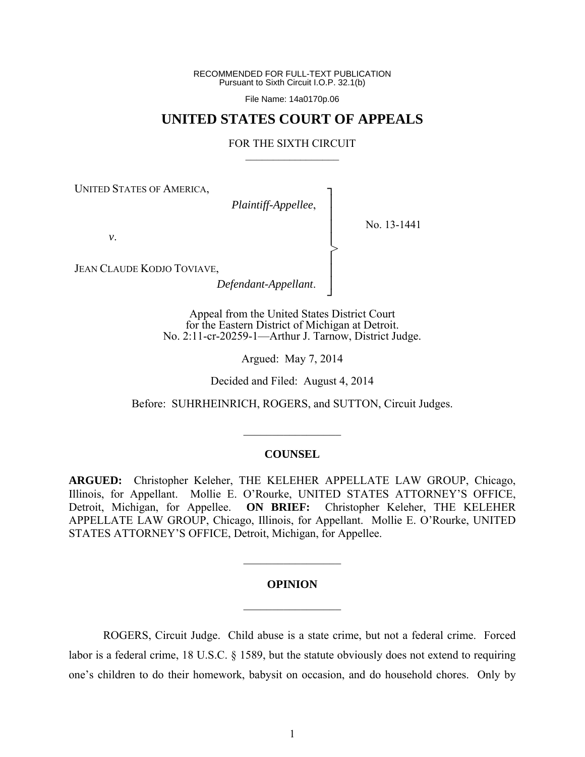RECOMMENDED FOR FULL-TEXT PUBLICATION Pursuant to Sixth Circuit I.O.P. 32.1(b)

File Name: 14a0170p.06

# **UNITED STATES COURT OF APPEALS**

### FOR THE SIXTH CIRCUIT  $\mathcal{L}_\text{max}$

┐ │ │ │ │ │ │ │ ┘

>

UNITED STATES OF AMERICA,

*Plaintiff-Appellee*,

No. 13-1441

*v*.

JEAN CLAUDE KODJO TOVIAVE,

*Defendant-Appellant*.

Appeal from the United States District Court for the Eastern District of Michigan at Detroit. No. 2:11-cr-20259-1—Arthur J. Tarnow, District Judge.

Argued: May 7, 2014

Decided and Filed: August 4, 2014

Before: SUHRHEINRICH, ROGERS, and SUTTON, Circuit Judges.

### **COUNSEL**

 $\frac{1}{2}$ 

**ARGUED:** Christopher Keleher, THE KELEHER APPELLATE LAW GROUP, Chicago, Illinois, for Appellant. Mollie E. O'Rourke, UNITED STATES ATTORNEY'S OFFICE, Detroit, Michigan, for Appellee. **ON BRIEF:** Christopher Keleher, THE KELEHER APPELLATE LAW GROUP, Chicago, Illinois, for Appellant. Mollie E. O'Rourke, UNITED STATES ATTORNEY'S OFFICE, Detroit, Michigan, for Appellee.

### **OPINION**

 $\frac{1}{2}$ 

 $\frac{1}{2}$ 

ROGERS, Circuit Judge. Child abuse is a state crime, but not a federal crime. Forced labor is a federal crime, 18 U.S.C. § 1589, but the statute obviously does not extend to requiring one's children to do their homework, babysit on occasion, and do household chores. Only by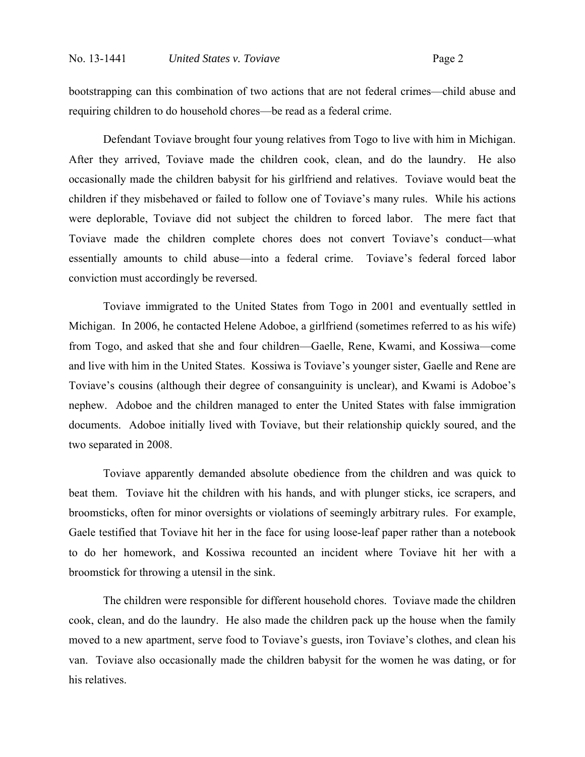bootstrapping can this combination of two actions that are not federal crimes—child abuse and requiring children to do household chores—be read as a federal crime.

Defendant Toviave brought four young relatives from Togo to live with him in Michigan. After they arrived, Toviave made the children cook, clean, and do the laundry. He also occasionally made the children babysit for his girlfriend and relatives. Toviave would beat the children if they misbehaved or failed to follow one of Toviave's many rules. While his actions were deplorable, Toviave did not subject the children to forced labor. The mere fact that Toviave made the children complete chores does not convert Toviave's conduct—what essentially amounts to child abuse—into a federal crime. Toviave's federal forced labor conviction must accordingly be reversed.

Toviave immigrated to the United States from Togo in 2001 and eventually settled in Michigan. In 2006, he contacted Helene Adoboe, a girlfriend (sometimes referred to as his wife) from Togo, and asked that she and four children—Gaelle, Rene, Kwami, and Kossiwa—come and live with him in the United States. Kossiwa is Toviave's younger sister, Gaelle and Rene are Toviave's cousins (although their degree of consanguinity is unclear), and Kwami is Adoboe's nephew. Adoboe and the children managed to enter the United States with false immigration documents. Adoboe initially lived with Toviave, but their relationship quickly soured, and the two separated in 2008.

Toviave apparently demanded absolute obedience from the children and was quick to beat them. Toviave hit the children with his hands, and with plunger sticks, ice scrapers, and broomsticks, often for minor oversights or violations of seemingly arbitrary rules. For example, Gaele testified that Toviave hit her in the face for using loose-leaf paper rather than a notebook to do her homework, and Kossiwa recounted an incident where Toviave hit her with a broomstick for throwing a utensil in the sink.

The children were responsible for different household chores. Toviave made the children cook, clean, and do the laundry. He also made the children pack up the house when the family moved to a new apartment, serve food to Toviave's guests, iron Toviave's clothes, and clean his van. Toviave also occasionally made the children babysit for the women he was dating, or for his relatives.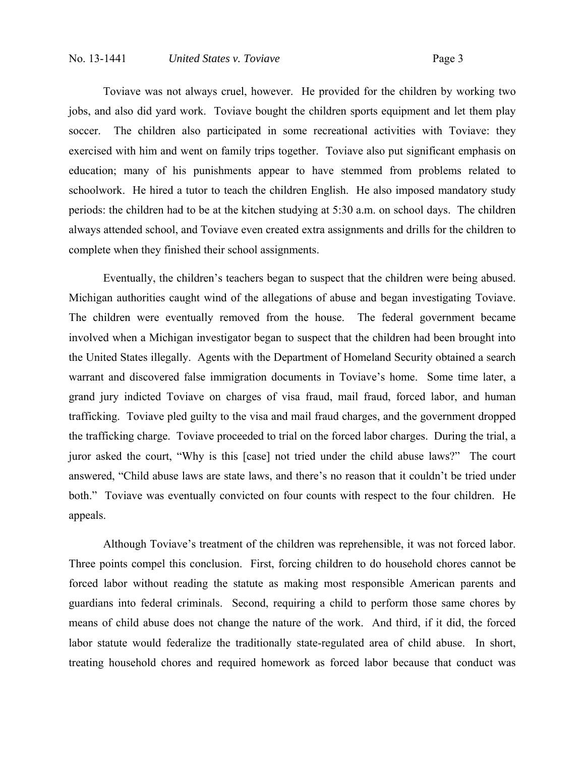### No. 13-1441 *United States v. Toviave* Page 3

Toviave was not always cruel, however. He provided for the children by working two jobs, and also did yard work. Toviave bought the children sports equipment and let them play soccer. The children also participated in some recreational activities with Toviave: they exercised with him and went on family trips together. Toviave also put significant emphasis on education; many of his punishments appear to have stemmed from problems related to schoolwork. He hired a tutor to teach the children English. He also imposed mandatory study periods: the children had to be at the kitchen studying at 5:30 a.m. on school days. The children always attended school, and Toviave even created extra assignments and drills for the children to complete when they finished their school assignments.

Eventually, the children's teachers began to suspect that the children were being abused. Michigan authorities caught wind of the allegations of abuse and began investigating Toviave. The children were eventually removed from the house. The federal government became involved when a Michigan investigator began to suspect that the children had been brought into the United States illegally. Agents with the Department of Homeland Security obtained a search warrant and discovered false immigration documents in Toviave's home. Some time later, a grand jury indicted Toviave on charges of visa fraud, mail fraud, forced labor, and human trafficking. Toviave pled guilty to the visa and mail fraud charges, and the government dropped the trafficking charge. Toviave proceeded to trial on the forced labor charges. During the trial, a juror asked the court, "Why is this [case] not tried under the child abuse laws?" The court answered, "Child abuse laws are state laws, and there's no reason that it couldn't be tried under both." Toviave was eventually convicted on four counts with respect to the four children. He appeals.

Although Toviave's treatment of the children was reprehensible, it was not forced labor. Three points compel this conclusion. First, forcing children to do household chores cannot be forced labor without reading the statute as making most responsible American parents and guardians into federal criminals. Second, requiring a child to perform those same chores by means of child abuse does not change the nature of the work. And third, if it did, the forced labor statute would federalize the traditionally state-regulated area of child abuse. In short, treating household chores and required homework as forced labor because that conduct was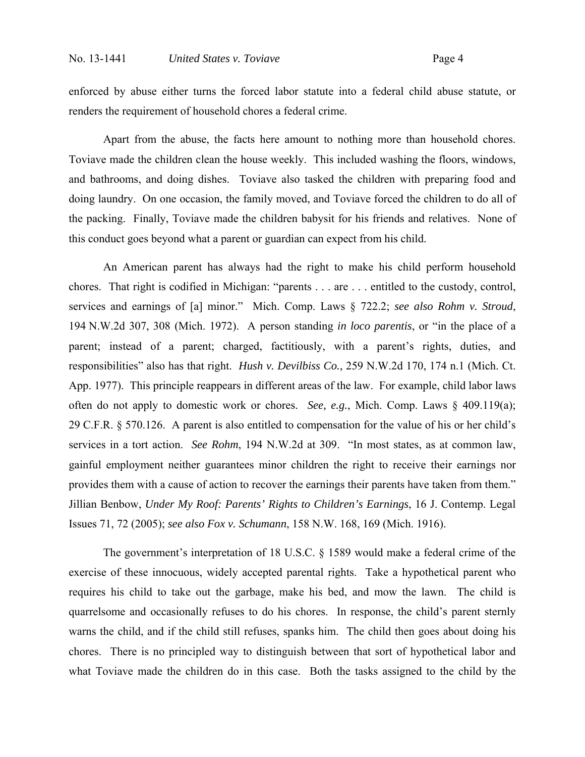enforced by abuse either turns the forced labor statute into a federal child abuse statute, or renders the requirement of household chores a federal crime.

Apart from the abuse, the facts here amount to nothing more than household chores. Toviave made the children clean the house weekly. This included washing the floors, windows, and bathrooms, and doing dishes. Toviave also tasked the children with preparing food and doing laundry. On one occasion, the family moved, and Toviave forced the children to do all of the packing. Finally, Toviave made the children babysit for his friends and relatives. None of this conduct goes beyond what a parent or guardian can expect from his child.

An American parent has always had the right to make his child perform household chores. That right is codified in Michigan: "parents . . . are . . . entitled to the custody, control, services and earnings of [a] minor." Mich. Comp. Laws § 722.2; *see also Rohm v. Stroud*, 194 N.W.2d 307, 308 (Mich. 1972). A person standing *in loco parentis*, or "in the place of a parent; instead of a parent; charged, factitiously, with a parent's rights, duties, and responsibilities" also has that right. *Hush v. Devilbiss Co.*, 259 N.W.2d 170, 174 n.1 (Mich. Ct. App. 1977). This principle reappears in different areas of the law. For example, child labor laws often do not apply to domestic work or chores. *See, e.g.*, Mich. Comp. Laws § 409.119(a); 29 C.F.R. § 570.126. A parent is also entitled to compensation for the value of his or her child's services in a tort action. *See Rohm*, 194 N.W.2d at 309. "In most states, as at common law, gainful employment neither guarantees minor children the right to receive their earnings nor provides them with a cause of action to recover the earnings their parents have taken from them." Jillian Benbow, *Under My Roof: Parents' Rights to Children's Earnings*, 16 J. Contemp. Legal Issues 71, 72 (2005); *see also Fox v. Schumann*, 158 N.W. 168, 169 (Mich. 1916).

The government's interpretation of 18 U.S.C. § 1589 would make a federal crime of the exercise of these innocuous, widely accepted parental rights. Take a hypothetical parent who requires his child to take out the garbage, make his bed, and mow the lawn. The child is quarrelsome and occasionally refuses to do his chores. In response, the child's parent sternly warns the child, and if the child still refuses, spanks him. The child then goes about doing his chores. There is no principled way to distinguish between that sort of hypothetical labor and what Toviave made the children do in this case. Both the tasks assigned to the child by the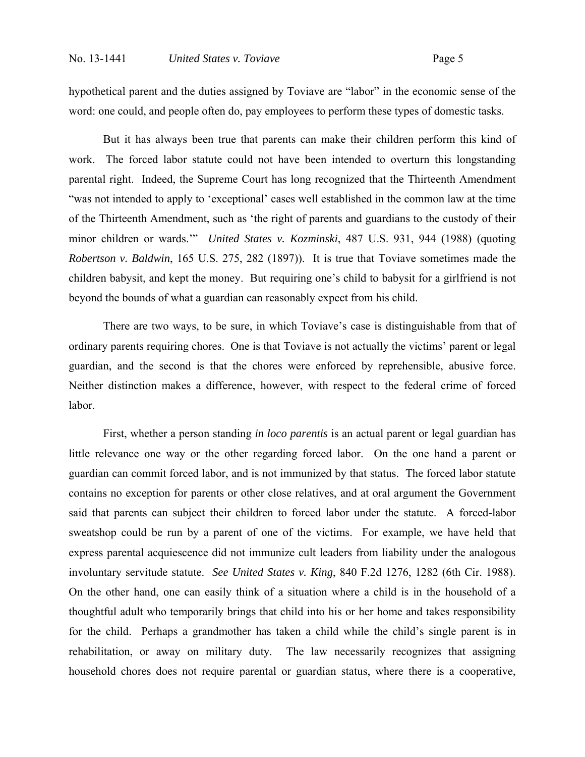hypothetical parent and the duties assigned by Toviave are "labor" in the economic sense of the word: one could, and people often do, pay employees to perform these types of domestic tasks.

But it has always been true that parents can make their children perform this kind of work. The forced labor statute could not have been intended to overturn this longstanding parental right. Indeed, the Supreme Court has long recognized that the Thirteenth Amendment "was not intended to apply to 'exceptional' cases well established in the common law at the time of the Thirteenth Amendment, such as 'the right of parents and guardians to the custody of their minor children or wards.'" *United States v. Kozminski*, 487 U.S. 931, 944 (1988) (quoting *Robertson v. Baldwin*, 165 U.S. 275, 282 (1897)). It is true that Toviave sometimes made the children babysit, and kept the money. But requiring one's child to babysit for a girlfriend is not beyond the bounds of what a guardian can reasonably expect from his child.

There are two ways, to be sure, in which Toviave's case is distinguishable from that of ordinary parents requiring chores. One is that Toviave is not actually the victims' parent or legal guardian, and the second is that the chores were enforced by reprehensible, abusive force. Neither distinction makes a difference, however, with respect to the federal crime of forced labor.

First, whether a person standing *in loco parentis* is an actual parent or legal guardian has little relevance one way or the other regarding forced labor. On the one hand a parent or guardian can commit forced labor, and is not immunized by that status. The forced labor statute contains no exception for parents or other close relatives, and at oral argument the Government said that parents can subject their children to forced labor under the statute. A forced-labor sweatshop could be run by a parent of one of the victims. For example, we have held that express parental acquiescence did not immunize cult leaders from liability under the analogous involuntary servitude statute. *See United States v. King*, 840 F.2d 1276, 1282 (6th Cir. 1988). On the other hand, one can easily think of a situation where a child is in the household of a thoughtful adult who temporarily brings that child into his or her home and takes responsibility for the child. Perhaps a grandmother has taken a child while the child's single parent is in rehabilitation, or away on military duty. The law necessarily recognizes that assigning household chores does not require parental or guardian status, where there is a cooperative,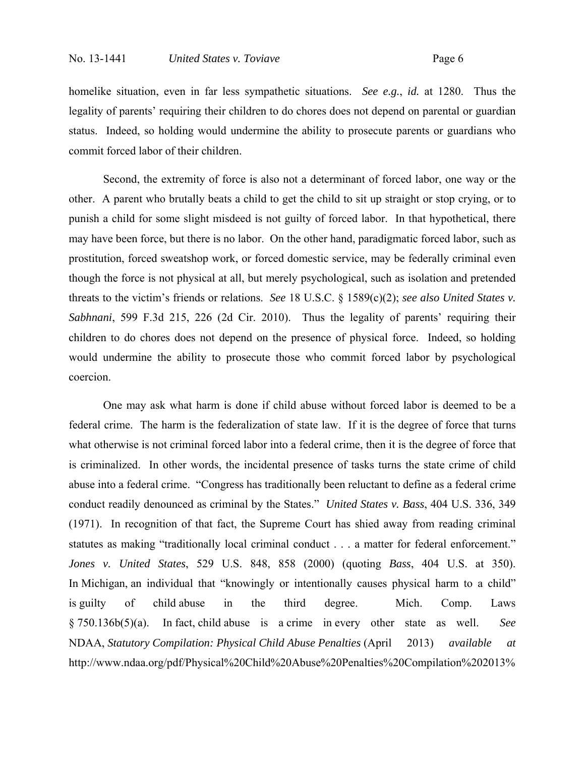homelike situation, even in far less sympathetic situations. *See e.g.*, *id.* at 1280. Thus the legality of parents' requiring their children to do chores does not depend on parental or guardian status. Indeed, so holding would undermine the ability to prosecute parents or guardians who commit forced labor of their children.

Second, the extremity of force is also not a determinant of forced labor, one way or the other. A parent who brutally beats a child to get the child to sit up straight or stop crying, or to punish a child for some slight misdeed is not guilty of forced labor. In that hypothetical, there may have been force, but there is no labor. On the other hand, paradigmatic forced labor, such as prostitution, forced sweatshop work, or forced domestic service, may be federally criminal even though the force is not physical at all, but merely psychological, such as isolation and pretended threats to the victim's friends or relations. *See* 18 U.S.C. § 1589(c)(2); *see also United States v. Sabhnani*, 599 F.3d 215, 226 (2d Cir. 2010). Thus the legality of parents' requiring their children to do chores does not depend on the presence of physical force. Indeed, so holding would undermine the ability to prosecute those who commit forced labor by psychological coercion.

One may ask what harm is done if child abuse without forced labor is deemed to be a federal crime. The harm is the federalization of state law. If it is the degree of force that turns what otherwise is not criminal forced labor into a federal crime, then it is the degree of force that is criminalized. In other words, the incidental presence of tasks turns the state crime of child abuse into a federal crime. "Congress has traditionally been reluctant to define as a federal crime conduct readily denounced as criminal by the States." *United States v. Bass*, 404 U.S. 336, 349 (1971). In recognition of that fact, the Supreme Court has shied away from reading criminal statutes as making "traditionally local criminal conduct . . . a matter for federal enforcement." *Jones v. United States*, 529 U.S. 848, 858 (2000) (quoting *Bass*, 404 U.S. at 350). In Michigan, an individual that "knowingly or intentionally causes physical harm to a child" is guilty of child abuse in the third degree. Mich. Comp. Laws § 750.136b(5)(a). In fact, child abuse is a crime in every other state as well. *See*  NDAA, *Statutory Compilation: Physical Child Abuse Penalties* (April 2013) *available at*  http://www.ndaa.org/pdf/Physical%20Child%20Abuse%20Penalties%20Compilation%202013%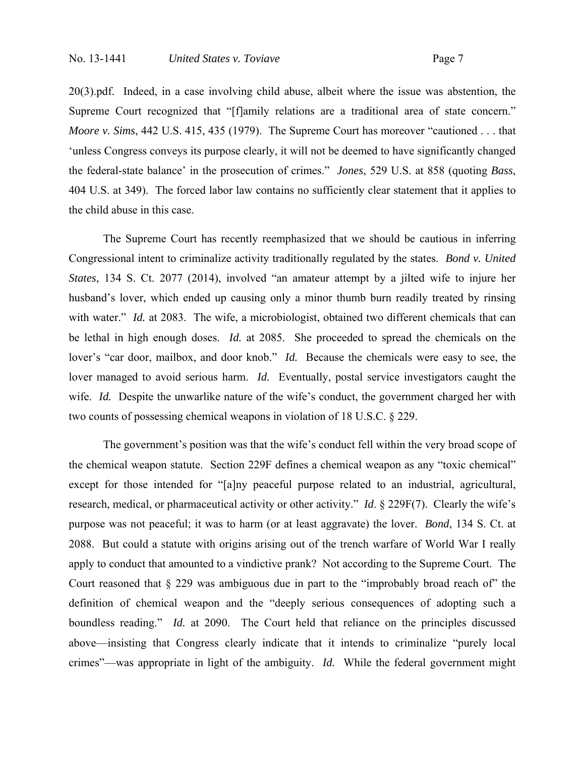20(3).pdf. Indeed, in a case involving child abuse, albeit where the issue was abstention, the Supreme Court recognized that "[f]amily relations are a traditional area of state concern." *Moore v. Sims*, 442 U.S. 415, 435 (1979). The Supreme Court has moreover "cautioned . . . that 'unless Congress conveys its purpose clearly, it will not be deemed to have significantly changed the federal-state balance' in the prosecution of crimes." *Jones*, 529 U.S. at 858 (quoting *Bass*, 404 U.S. at 349). The forced labor law contains no sufficiently clear statement that it applies to the child abuse in this case.

The Supreme Court has recently reemphasized that we should be cautious in inferring Congressional intent to criminalize activity traditionally regulated by the states. *Bond v. United States*, 134 S. Ct. 2077 (2014), involved "an amateur attempt by a jilted wife to injure her husband's lover, which ended up causing only a minor thumb burn readily treated by rinsing with water." *Id.* at 2083. The wife, a microbiologist, obtained two different chemicals that can be lethal in high enough doses. *Id.* at 2085. She proceeded to spread the chemicals on the lover's "car door, mailbox, and door knob." *Id.* Because the chemicals were easy to see, the lover managed to avoid serious harm. *Id.* Eventually, postal service investigators caught the wife. *Id.* Despite the unwarlike nature of the wife's conduct, the government charged her with two counts of possessing chemical weapons in violation of 18 U.S.C. § 229.

The government's position was that the wife's conduct fell within the very broad scope of the chemical weapon statute. Section 229F defines a chemical weapon as any "toxic chemical" except for those intended for "[a]ny peaceful purpose related to an industrial, agricultural, research, medical, or pharmaceutical activity or other activity." *Id*. § 229F(7). Clearly the wife's purpose was not peaceful; it was to harm (or at least aggravate) the lover. *Bond*, 134 S. Ct. at 2088. But could a statute with origins arising out of the trench warfare of World War I really apply to conduct that amounted to a vindictive prank? Not according to the Supreme Court. The Court reasoned that § 229 was ambiguous due in part to the "improbably broad reach of" the definition of chemical weapon and the "deeply serious consequences of adopting such a boundless reading." *Id.* at 2090. The Court held that reliance on the principles discussed above—insisting that Congress clearly indicate that it intends to criminalize "purely local crimes"—was appropriate in light of the ambiguity. *Id.* While the federal government might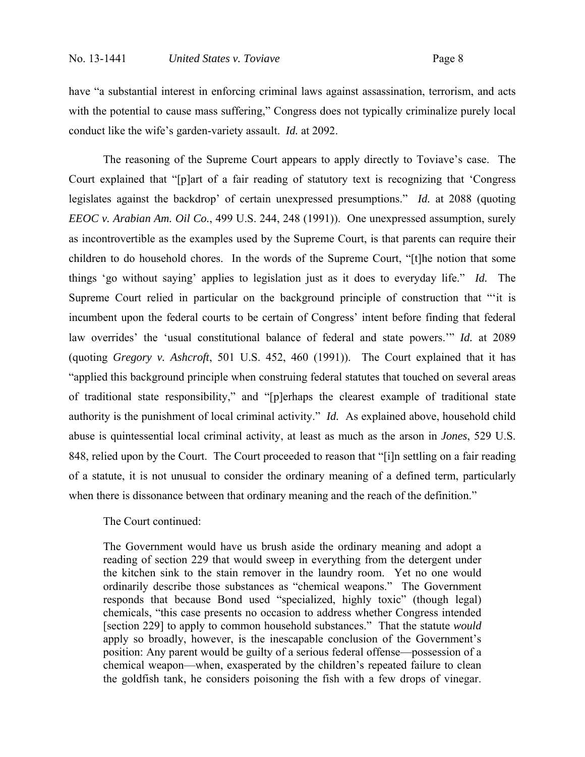have "a substantial interest in enforcing criminal laws against assassination, terrorism, and acts with the potential to cause mass suffering," Congress does not typically criminalize purely local conduct like the wife's garden-variety assault. *Id.* at 2092.

The reasoning of the Supreme Court appears to apply directly to Toviave's case. The Court explained that "[p]art of a fair reading of statutory text is recognizing that 'Congress legislates against the backdrop' of certain unexpressed presumptions." *Id.* at 2088 (quoting *EEOC v. Arabian Am. Oil Co.*, 499 U.S. 244, 248 (1991)). One unexpressed assumption, surely as incontrovertible as the examples used by the Supreme Court, is that parents can require their children to do household chores. In the words of the Supreme Court, "[t]he notion that some things 'go without saying' applies to legislation just as it does to everyday life." *Id.* The Supreme Court relied in particular on the background principle of construction that "'it is incumbent upon the federal courts to be certain of Congress' intent before finding that federal law overrides' the 'usual constitutional balance of federal and state powers.'" *Id.* at 2089 (quoting *Gregory v. Ashcroft*, 501 U.S. 452, 460 (1991)). The Court explained that it has "applied this background principle when construing federal statutes that touched on several areas of traditional state responsibility," and "[p]erhaps the clearest example of traditional state authority is the punishment of local criminal activity." *Id.* As explained above, household child abuse is quintessential local criminal activity, at least as much as the arson in *Jones*, 529 U.S. 848, relied upon by the Court. The Court proceeded to reason that "[i]n settling on a fair reading of a statute, it is not unusual to consider the ordinary meaning of a defined term, particularly when there is dissonance between that ordinary meaning and the reach of the definition."

The Court continued:

The Government would have us brush aside the ordinary meaning and adopt a reading of section 229 that would sweep in everything from the detergent under the kitchen sink to the stain remover in the laundry room. Yet no one would ordinarily describe those substances as "chemical weapons." The Government responds that because Bond used "specialized, highly toxic" (though legal) chemicals, "this case presents no occasion to address whether Congress intended [section 229] to apply to common household substances." That the statute *would* apply so broadly, however, is the inescapable conclusion of the Government's position: Any parent would be guilty of a serious federal offense—possession of a chemical weapon—when, exasperated by the children's repeated failure to clean the goldfish tank, he considers poisoning the fish with a few drops of vinegar.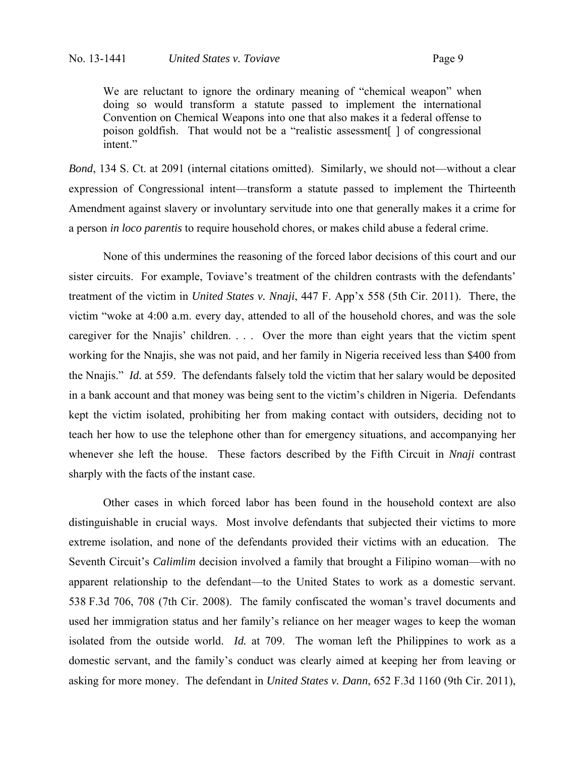We are reluctant to ignore the ordinary meaning of "chemical weapon" when doing so would transform a statute passed to implement the international Convention on Chemical Weapons into one that also makes it a federal offense to poison goldfish. That would not be a "realistic assessment[ ] of congressional intent<sup>"</sup>

*Bond*, 134 S. Ct. at 2091 (internal citations omitted). Similarly, we should not—without a clear expression of Congressional intent—transform a statute passed to implement the Thirteenth Amendment against slavery or involuntary servitude into one that generally makes it a crime for a person *in loco parentis* to require household chores, or makes child abuse a federal crime.

None of this undermines the reasoning of the forced labor decisions of this court and our sister circuits. For example, Toviave's treatment of the children contrasts with the defendants' treatment of the victim in *United States v. Nnaji*, 447 F. App'x 558 (5th Cir. 2011). There, the victim "woke at 4:00 a.m. every day, attended to all of the household chores, and was the sole caregiver for the Nnajis' children. . . . Over the more than eight years that the victim spent working for the Nnajis, she was not paid, and her family in Nigeria received less than \$400 from the Nnajis." *Id.* at 559. The defendants falsely told the victim that her salary would be deposited in a bank account and that money was being sent to the victim's children in Nigeria. Defendants kept the victim isolated, prohibiting her from making contact with outsiders, deciding not to teach her how to use the telephone other than for emergency situations, and accompanying her whenever she left the house. These factors described by the Fifth Circuit in *Nnaji* contrast sharply with the facts of the instant case.

Other cases in which forced labor has been found in the household context are also distinguishable in crucial ways. Most involve defendants that subjected their victims to more extreme isolation, and none of the defendants provided their victims with an education. The Seventh Circuit's *Calimlim* decision involved a family that brought a Filipino woman—with no apparent relationship to the defendant—to the United States to work as a domestic servant. 538 F.3d 706, 708 (7th Cir. 2008). The family confiscated the woman's travel documents and used her immigration status and her family's reliance on her meager wages to keep the woman isolated from the outside world. *Id.* at 709. The woman left the Philippines to work as a domestic servant, and the family's conduct was clearly aimed at keeping her from leaving or asking for more money. The defendant in *United States v. Dann*, 652 F.3d 1160 (9th Cir. 2011),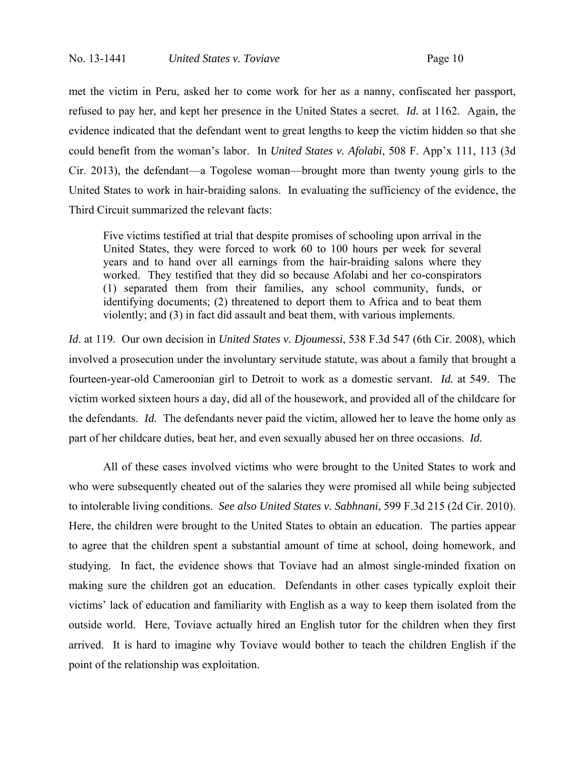met the victim in Peru, asked her to come work for her as a nanny, confiscated her passport, refused to pay her, and kept her presence in the United States a secret. *Id.* at 1162. Again, the evidence indicated that the defendant went to great lengths to keep the victim hidden so that she could benefit from the woman's labor. In *United States v. Afolabi*, 508 F. App'x 111, 113 (3d Cir. 2013), the defendant—a Togolese woman—brought more than twenty young girls to the United States to work in hair-braiding salons. In evaluating the sufficiency of the evidence, the Third Circuit summarized the relevant facts:

Five victims testified at trial that despite promises of schooling upon arrival in the United States, they were forced to work 60 to 100 hours per week for several years and to hand over all earnings from the hair-braiding salons where they worked. They testified that they did so because Afolabi and her co-conspirators (1) separated them from their families, any school community, funds, or identifying documents; (2) threatened to deport them to Africa and to beat them violently; and (3) in fact did assault and beat them, with various implements.

*Id*. at 119. Our own decision in *United States v. Djoumessi*, 538 F.3d 547 (6th Cir. 2008), which involved a prosecution under the involuntary servitude statute, was about a family that brought a fourteen-year-old Cameroonian girl to Detroit to work as a domestic servant. *Id.* at 549. The victim worked sixteen hours a day, did all of the housework, and provided all of the childcare for the defendants. *Id.* The defendants never paid the victim, allowed her to leave the home only as part of her childcare duties, beat her, and even sexually abused her on three occasions. *Id.* 

All of these cases involved victims who were brought to the United States to work and who were subsequently cheated out of the salaries they were promised all while being subjected to intolerable living conditions. *See also United States v. Sabhnani*, 599 F.3d 215 (2d Cir. 2010). Here, the children were brought to the United States to obtain an education. The parties appear to agree that the children spent a substantial amount of time at school, doing homework, and studying. In fact, the evidence shows that Toviave had an almost single-minded fixation on making sure the children got an education. Defendants in other cases typically exploit their victims' lack of education and familiarity with English as a way to keep them isolated from the outside world. Here, Toviave actually hired an English tutor for the children when they first arrived. It is hard to imagine why Toviave would bother to teach the children English if the point of the relationship was exploitation.